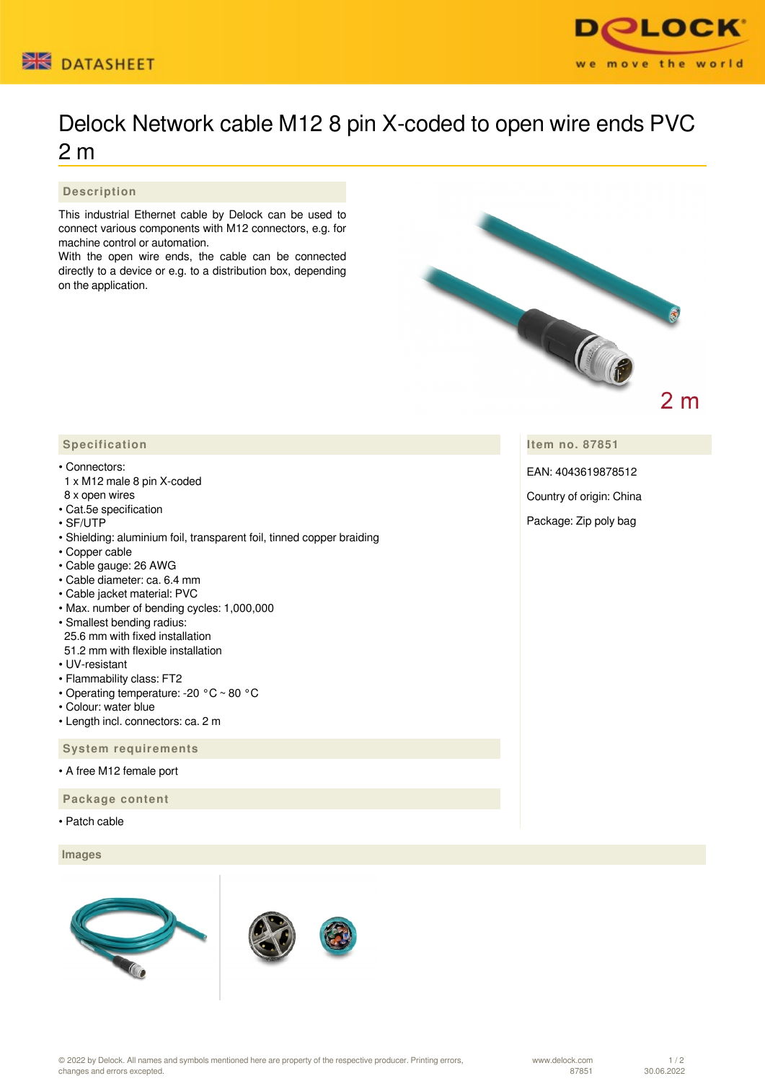



## Delock Network cable M12 8 pin X-coded to open wire ends PVC 2 m

## **Description**

This industrial Ethernet cable by Delock can be used to connect various components with M12 connectors, e.g. for machine control or automation.

With the open wire ends, the cable can be connected directly to a device or e.g. to a distribution box, depending on the application.



**Item no. 87851**

EAN: 4043619878512

Country of origin: China

Package: Zip poly bag

## **Specification**

## • Connectors:

- 1 x M12 male 8 pin X-coded
- 8 x open wires
- Cat.5e specification
- SF/UTP
- Shielding: aluminium foil, transparent foil, tinned copper braiding
- Copper cable
- Cable gauge: 26 AWG
- Cable diameter: ca. 6.4 mm
- Cable jacket material: PVC
- Max. number of bending cycles: 1,000,000
- Smallest bending radius: 25.6 mm with fixed installation
- 51.2 mm with flexible installation
- UV-resistant
- Flammability class: FT2
- Operating temperature: -20 °C ~ 80 °C
- Colour: water blue
- Length incl. connectors: ca. 2 m

 **System requirements**

• A free M12 female port

 **Package content**

• Patch cable

 **Images**